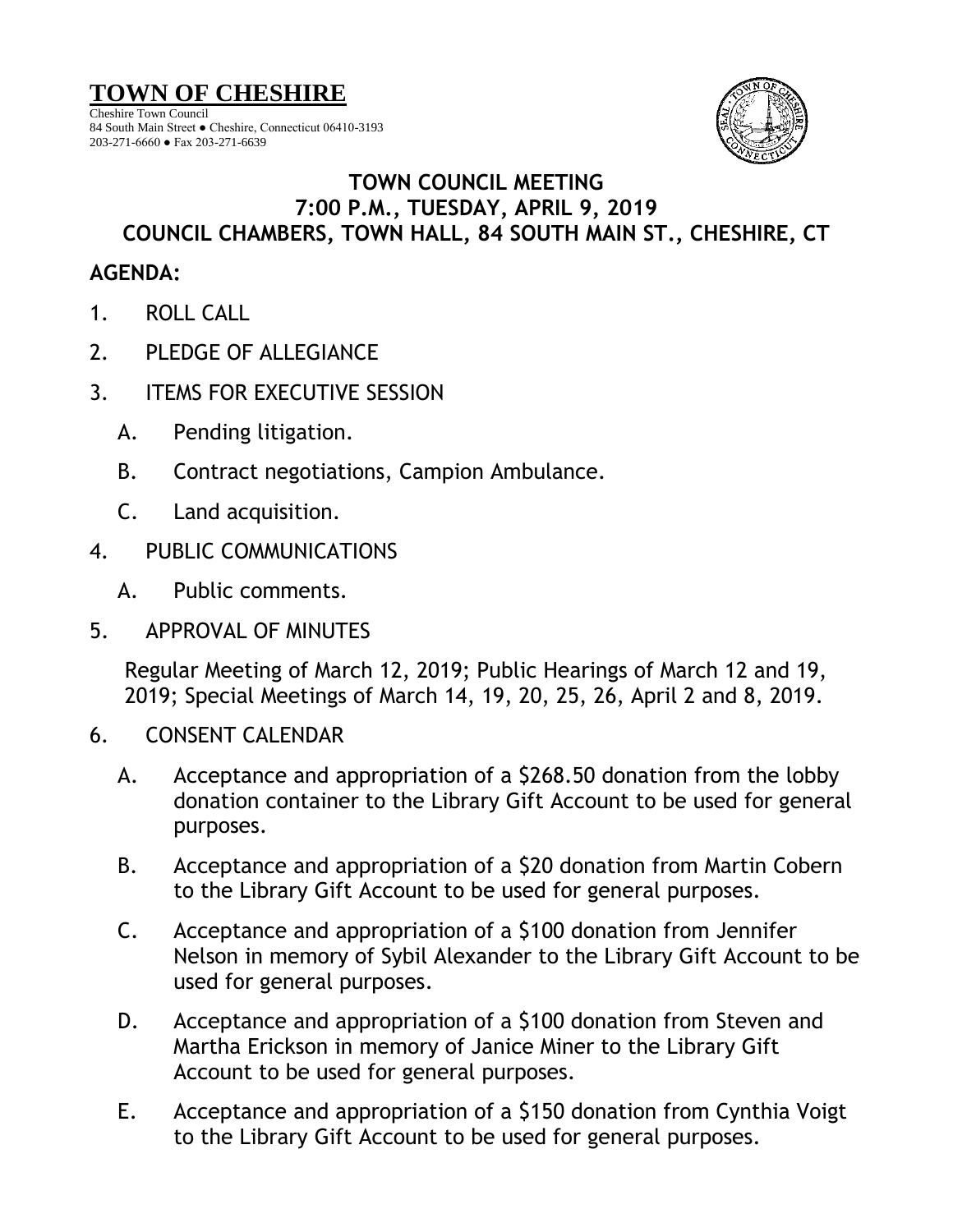## **TOWN OF CHESHIRE**

Cheshire Town Council 84 South Main Street ● Cheshire, Connecticut 06410-3193 203-271-6660 ● Fax 203-271-6639



## **TOWN COUNCIL MEETING 7:00 P.M., TUESDAY, APRIL 9, 2019 COUNCIL CHAMBERS, TOWN HALL, 84 SOUTH MAIN ST., CHESHIRE, CT**

## **AGENDA:**

- 1. ROLL CALL
- 2. PLEDGE OF ALLEGIANCE
- 3. ITEMS FOR EXECUTIVE SESSION
	- A. Pending litigation.
	- B. Contract negotiations, Campion Ambulance.
	- C. Land acquisition.
- 4. PUBLIC COMMUNICATIONS
	- A. Public comments.
- 5. APPROVAL OF MINUTES

Regular Meeting of March 12, 2019; Public Hearings of March 12 and 19, 2019; Special Meetings of March 14, 19, 20, 25, 26, April 2 and 8, 2019.

- 6. CONSENT CALENDAR
	- A. Acceptance and appropriation of a \$268.50 donation from the lobby donation container to the Library Gift Account to be used for general purposes.
	- B. Acceptance and appropriation of a \$20 donation from Martin Cobern to the Library Gift Account to be used for general purposes.
	- C. Acceptance and appropriation of a \$100 donation from Jennifer Nelson in memory of Sybil Alexander to the Library Gift Account to be used for general purposes.
	- D. Acceptance and appropriation of a \$100 donation from Steven and Martha Erickson in memory of Janice Miner to the Library Gift Account to be used for general purposes.
	- E. Acceptance and appropriation of a \$150 donation from Cynthia Voigt to the Library Gift Account to be used for general purposes.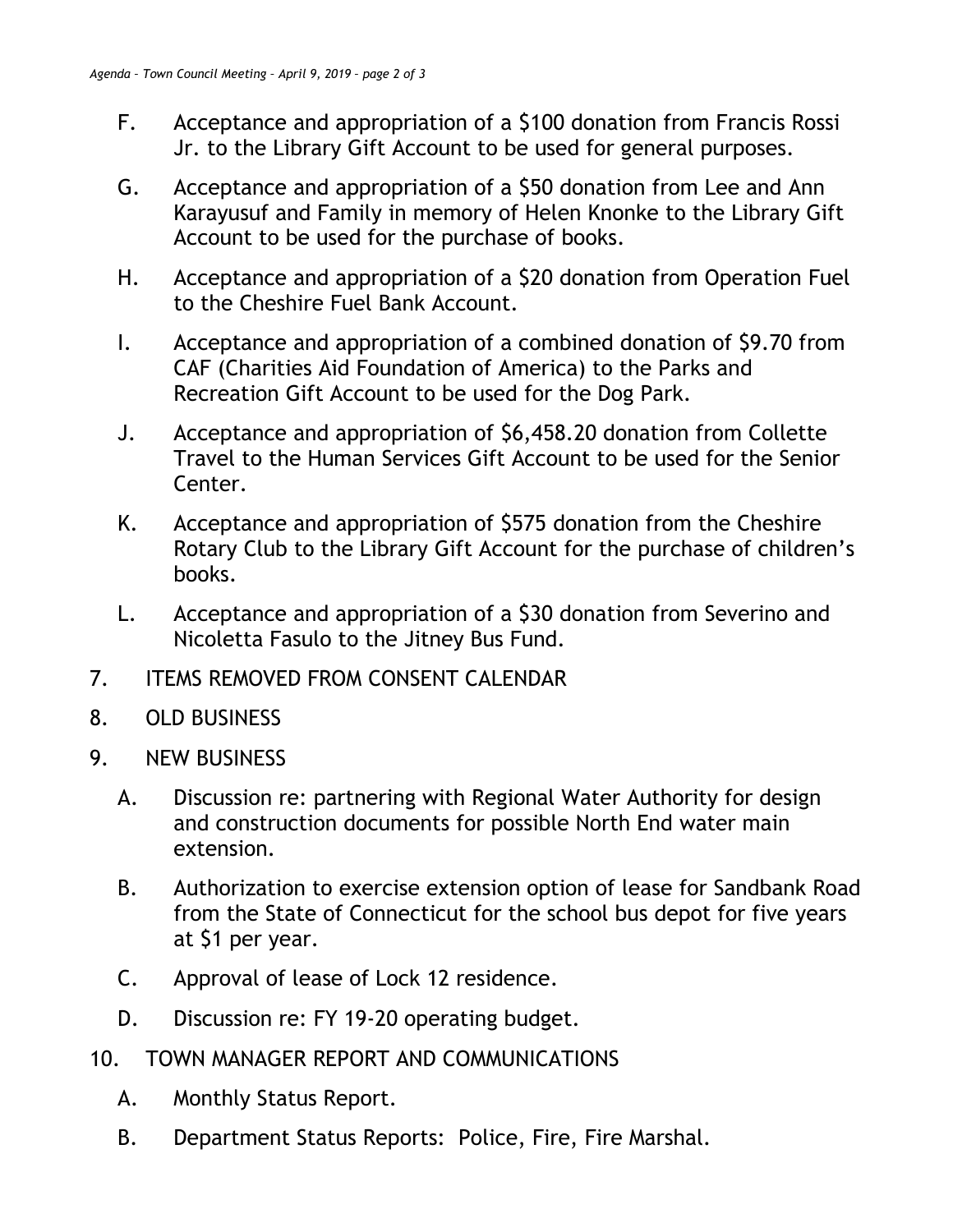- F. Acceptance and appropriation of a \$100 donation from Francis Rossi Jr. to the Library Gift Account to be used for general purposes.
- G. Acceptance and appropriation of a \$50 donation from Lee and Ann Karayusuf and Family in memory of Helen Knonke to the Library Gift Account to be used for the purchase of books.
- H. Acceptance and appropriation of a \$20 donation from Operation Fuel to the Cheshire Fuel Bank Account.
- I. Acceptance and appropriation of a combined donation of \$9.70 from CAF (Charities Aid Foundation of America) to the Parks and Recreation Gift Account to be used for the Dog Park.
- J. Acceptance and appropriation of \$6,458.20 donation from Collette Travel to the Human Services Gift Account to be used for the Senior Center.
- K. Acceptance and appropriation of \$575 donation from the Cheshire Rotary Club to the Library Gift Account for the purchase of children's books.
- L. Acceptance and appropriation of a \$30 donation from Severino and Nicoletta Fasulo to the Jitney Bus Fund.
- 7. ITEMS REMOVED FROM CONSENT CALENDAR
- 8. OLD BUSINESS
- 9. NEW BUSINESS
	- A. Discussion re: partnering with Regional Water Authority for design and construction documents for possible North End water main extension.
	- B. Authorization to exercise extension option of lease for Sandbank Road from the State of Connecticut for the school bus depot for five years at \$1 per year.
	- C. Approval of lease of Lock 12 residence.
	- D. Discussion re: FY 19-20 operating budget.
- 10. TOWN MANAGER REPORT AND COMMUNICATIONS
	- A. Monthly Status Report.
	- B. Department Status Reports: Police, Fire, Fire Marshal.